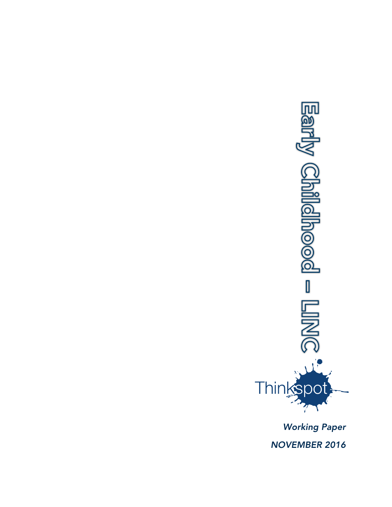

*Working Paper NOVEMBER 2016*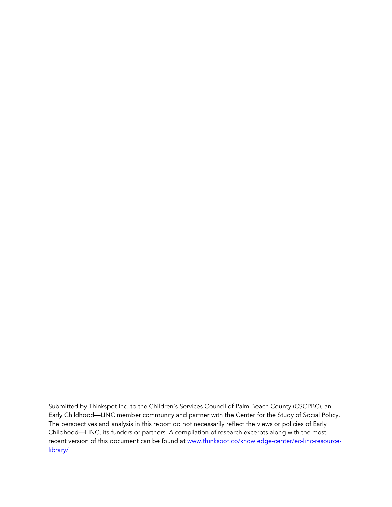Submitted by Thinkspot Inc. to the Children's Services Council of Palm Beach County (CSCPBC), an Early Childhood—LINC member community and partner with the Center for the Study of Social Policy. The perspectives and analysis in this report do not necessarily reflect the views or policies of Early Childhood—LINC, its funders or partners. A compilation of research excerpts along with the most recent version of this document can be found at [www.thinkspot.co/knowledge-center/ec-linc-resource](http://www.thinkspot.co/knowledge-center/ec-linc-resource-library/)[library/](http://www.thinkspot.co/knowledge-center/ec-linc-resource-library/)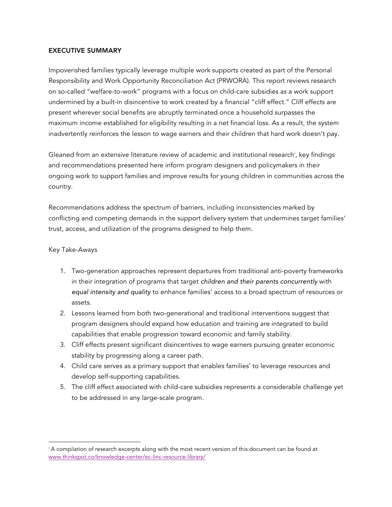#### EXECUTIVE SUMMARY

Impoverished families typically leverage multiple work supports created as part of the Personal Responsibility and Work Opportunity Reconciliation Act (PRWORA). This report reviews research on so-called "welfare-to-work" programs with a focus on child-care subsidies as a work support undermined by a built-in disincentive to work created by a financial "cliff effect." Cliff effects are present wherever social benefits are abruptly terminated once a household surpasses the maximum income established for eligibility resulting in a net financial loss. As a result, the system inadvertently reinforces the lesson to wage earners and their children that hard work doesn't pay.

Gleaned from an extensive literature review of academic and institutional research<sup>i</sup>, key findings and recommendations presented here inform program designers and policymakers in their ongoing work to support families and improve results for young children in communities across the country.

Recommendations address the spectrum of barriers, including inconsistencies marked by conflicting and competing demands in the support delivery system that undermines target families' trust, access, and utilization of the programs designed to help them.

## Key Take-Aways

 

- 1. Two-generation approaches represent departures from traditional anti-poverty frameworks in their integration of programs that target *children and their parents concurrently* with *equal intensity and quality* to enhance families' access to a broad spectrum of resources or assets.
- 2. Lessons learned from both two-generational and traditional interventions suggest that program designers should expand how education and training are integrated to build capabilities that enable progression toward economic and family stability.
- 3. Cliff effects present significant disincentives to wage earners pursuing greater economic stability by progressing along a career path.
- 4. Child care serves as a primary support that enables families' to leverage resources and develop self-supporting capabilities.
- 5. The cliff effect associated with child-care subsidies represents a considerable challenge yet to be addressed in any large-scale program.

<sup>i</sup> A compilation of research excerpts along with the most recent version of this document can be found at www.thinkspot.co/knowledge-center/ec-linc-resource-library/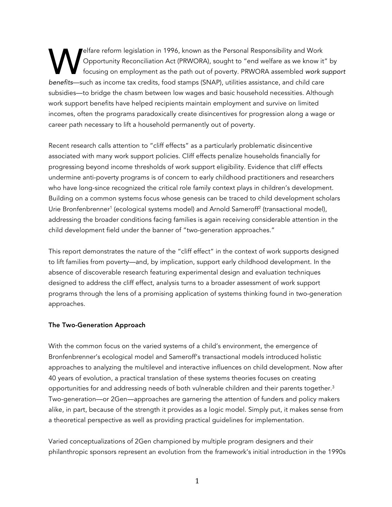elfare reform legislation in 1996, known as the Personal Responsibility and Work Opportunity Reconciliation Act (PRWORA), sought to "end welfare as we know it" by focusing on employment as the path out of poverty. PRWORA assembled *work support*  **benefits—such as income tax credits, food stamps (SNAP), sought to "end welfare as we know it"**<br> **benefits—such as income tax credits, food stamps (SNAP), utilities assistance, and child care the vertex credits, food stam** subsidies—to bridge the chasm between low wages and basic household necessities. Although work support benefits have helped recipients maintain employment and survive on limited incomes, often the programs paradoxically create disincentives for progression along a wage or career path necessary to lift a household permanently out of poverty.

Recent research calls attention to "cliff effects" as a particularly problematic disincentive associated with many work support policies. Cliff effects penalize households financially for progressing beyond income thresholds of work support eligibility. Evidence that cliff effects undermine anti-poverty programs is of concern to early childhood practitioners and researchers who have long-since recognized the critical role family context plays in children's development. Building on a common systems focus whose genesis can be traced to child development scholars Urie Bronfenbrenner<sup>1</sup> (ecological systems model) and Arnold Sameroff<sup>2</sup> (transactional model), addressing the broader conditions facing families is again receiving considerable attention in the child development field under the banner of "two-generation approaches."

This report demonstrates the nature of the "cliff effect" in the context of work supports designed to lift families from poverty—and, by implication, support early childhood development. In the absence of discoverable research featuring experimental design and evaluation techniques designed to address the cliff effect, analysis turns to a broader assessment of work support programs through the lens of a promising application of systems thinking found in two-generation approaches.

#### The Two-Generation Approach

With the common focus on the varied systems of a child's environment, the emergence of Bronfenbrenner's ecological model and Sameroff's transactional models introduced holistic approaches to analyzing the multilevel and interactive influences on child development. Now after 40 years of evolution, a practical translation of these systems theories focuses on creating opportunities for and addressing needs of both vulnerable children and their parents together.<sup>3</sup> Two-generation—or 2Gen—approaches are garnering the attention of funders and policy makers alike, in part, because of the strength it provides as a logic model. Simply put, it makes sense from a theoretical perspective as well as providing practical guidelines for implementation.

Varied conceptualizations of 2Gen championed by multiple program designers and their philanthropic sponsors represent an evolution from the framework's initial introduction in the 1990s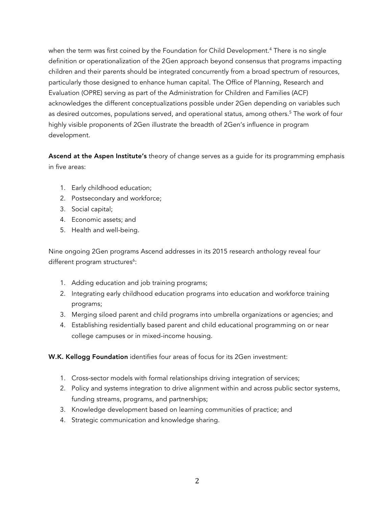when the term was first coined by the Foundation for Child Development.<sup>4</sup> There is no single definition or operationalization of the 2Gen approach beyond consensus that programs impacting children and their parents should be integrated concurrently from a broad spectrum of resources, particularly those designed to enhance human capital. The Office of Planning, Research and Evaluation (OPRE) serving as part of the Administration for Children and Families (ACF) acknowledges the different conceptualizations possible under 2Gen depending on variables such as desired outcomes, populations served, and operational status, among others.<sup>5</sup> The work of four highly visible proponents of 2Gen illustrate the breadth of 2Gen's influence in program development.

Ascend at the Aspen Institute's theory of change serves as a guide for its programming emphasis in five areas:

- 1. Early childhood education;
- 2. Postsecondary and workforce;
- 3. Social capital;
- 4. Economic assets; and
- 5. Health and well-being.

Nine ongoing 2Gen programs Ascend addresses in its 2015 research anthology reveal four different program structures<sup>6</sup>:

- 1. Adding education and job training programs;
- 2. Integrating early childhood education programs into education and workforce training programs;
- 3. Merging siloed parent and child programs into umbrella organizations or agencies; and
- 4. Establishing residentially based parent and child educational programming on or near college campuses or in mixed-income housing.

W.K. Kellogg Foundation identifies four areas of focus for its 2Gen investment:

- 1. Cross-sector models with formal relationships driving integration of services;
- 2. Policy and systems integration to drive alignment within and across public sector systems, funding streams, programs, and partnerships;
- 3. Knowledge development based on learning communities of practice; and
- 4. Strategic communication and knowledge sharing.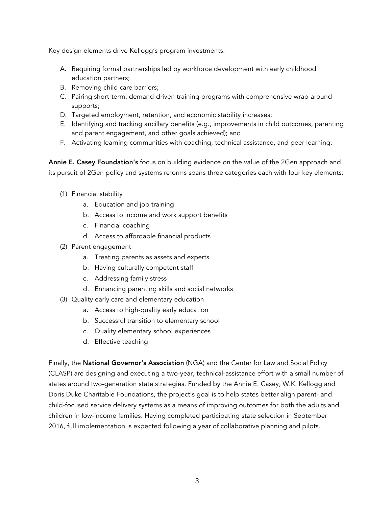Key design elements drive Kellogg's program investments:

- A. Requiring formal partnerships led by workforce development with early childhood education partners;
- B. Removing child care barriers;
- C. Pairing short-term, demand-driven training programs with comprehensive wrap-around supports;
- D. Targeted employment, retention, and economic stability increases;
- E. Identifying and tracking ancillary benefits (e.g., improvements in child outcomes, parenting and parent engagement, and other goals achieved); and
- F. Activating learning communities with coaching, technical assistance, and peer learning.

Annie E. Casey Foundation's focus on building evidence on the value of the 2Gen approach and its pursuit of 2Gen policy and systems reforms spans three categories each with four key elements:

- (1) Financial stability
	- a. Education and job training
	- b. Access to income and work support benefits
	- c. Financial coaching
	- d. Access to affordable financial products
- (2) Parent engagement
	- a. Treating parents as assets and experts
	- b. Having culturally competent staff
	- c. Addressing family stress
	- d. Enhancing parenting skills and social networks
- (3) Quality early care and elementary education
	- a. Access to high-quality early education
	- b. Successful transition to elementary school
	- c. Quality elementary school experiences
	- d. Effective teaching

Finally, the National Governor's Association (NGA) and the Center for Law and Social Policy (CLASP) are designing and executing a two-year, technical-assistance effort with a small number of states around two-generation state strategies. Funded by the Annie E. Casey, W.K. Kellogg and Doris Duke Charitable Foundations, the project's goal is to help states better align parent- and child-focused service delivery systems as a means of improving outcomes for both the adults and children in low-income families. Having completed participating state selection in September 2016, full implementation is expected following a year of collaborative planning and pilots.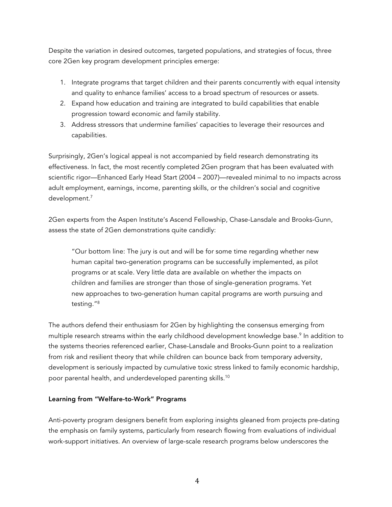Despite the variation in desired outcomes, targeted populations, and strategies of focus, three core 2Gen key program development principles emerge:

- 1. Integrate programs that target children and their parents concurrently with equal intensity and quality to enhance families' access to a broad spectrum of resources or assets.
- 2. Expand how education and training are integrated to build capabilities that enable progression toward economic and family stability.
- 3. Address stressors that undermine families' capacities to leverage their resources and capabilities.

Surprisingly, 2Gen's logical appeal is not accompanied by field research demonstrating its effectiveness. In fact, the most recently completed 2Gen program that has been evaluated with scientific rigor—Enhanced Early Head Start (2004 – 2007)—revealed minimal to no impacts across adult employment, earnings, income, parenting skills, or the children's social and cognitive development.7

2Gen experts from the Aspen Institute's Ascend Fellowship, Chase-Lansdale and Brooks-Gunn, assess the state of 2Gen demonstrations quite candidly:

"Our bottom line: The jury is out and will be for some time regarding whether new human capital two-generation programs can be successfully implemented, as pilot programs or at scale. Very little data are available on whether the impacts on children and families are stronger than those of single-generation programs. Yet new approaches to two-generation human capital programs are worth pursuing and testing."8

The authors defend their enthusiasm for 2Gen by highlighting the consensus emerging from multiple research streams within the early childhood development knowledge base.<sup>9</sup> In addition to the systems theories referenced earlier, Chase-Lansdale and Brooks-Gunn point to a realization from risk and resilient theory that while children can bounce back from temporary adversity, development is seriously impacted by cumulative toxic stress linked to family economic hardship, poor parental health, and underdeveloped parenting skills. $^{\rm 10}$ 

## Learning from "Welfare-to-Work" Programs

Anti-poverty program designers benefit from exploring insights gleaned from projects pre-dating the emphasis on family systems, particularly from research flowing from evaluations of individual work-support initiatives. An overview of large-scale research programs below underscores the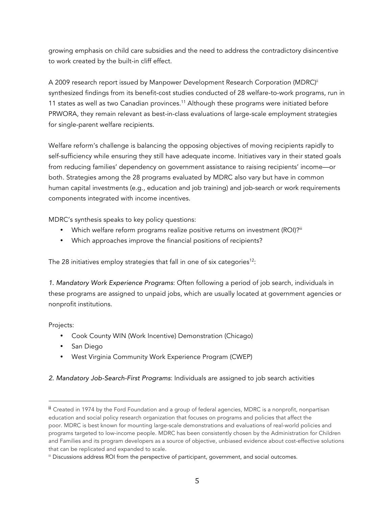growing emphasis on child care subsidies and the need to address the contradictory disincentive to work created by the built-in cliff effect.

A 2009 research report issued by Manpower Development Research Corporation (MDRC)<sup>ii</sup> synthesized findings from its benefit-cost studies conducted of 28 welfare-to-work programs, run in 11 states as well as two Canadian provinces.<sup>11</sup> Although these programs were initiated before PRWORA, they remain relevant as best-in-class evaluations of large-scale employment strategies for single-parent welfare recipients.

Welfare reform's challenge is balancing the opposing objectives of moving recipients rapidly to self-sufficiency while ensuring they still have adequate income. Initiatives vary in their stated goals from reducing families' dependency on government assistance to raising recipients' income—or both. Strategies among the 28 programs evaluated by MDRC also vary but have in common human capital investments (e.g., education and job training) and job-search or work requirements components integrated with income incentives.

MDRC's synthesis speaks to key policy questions:

- Which welfare reform programs realize positive returns on investment (ROI)?<sup>iii</sup>
- Which approaches improve the financial positions of recipients?

The 28 initiatives employ strategies that fall in one of six categories<sup>12</sup>:

*1. Mandatory Work Experience Programs*: Often following a period of job search, individuals in these programs are assigned to unpaid jobs, which are usually located at government agencies or nonprofit institutions.

Projects:

- Cook County WIN (Work Incentive) Demonstration (Chicago)
- San Diego

 

• West Virginia Community Work Experience Program (CWEP)

## *2. Mandatory Job-Search-First Programs*: Individuals are assigned to job search activities

ii Created in 1974 by the Ford Foundation and a group of federal agencies, MDRC is a nonprofit, nonpartisan education and social policy research organization that focuses on programs and policies that affect the poor. MDRC is best known for mounting large-scale demonstrations and evaluations of real-world policies and programs targeted to low-income people. MDRC has been consistently chosen by the Administration for Children and Families and its program developers as a source of objective, unbiased evidence about cost-effective solutions that can be replicated and expanded to scale.

iii Discussions address ROI from the perspective of participant, government, and social outcomes.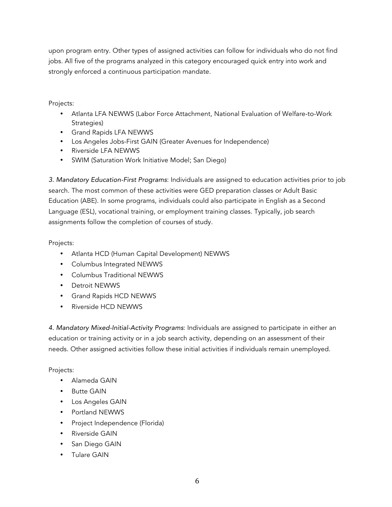upon program entry. Other types of assigned activities can follow for individuals who do not find jobs. All five of the programs analyzed in this category encouraged quick entry into work and strongly enforced a continuous participation mandate.

# Projects:

- Atlanta LFA NEWWS (Labor Force Attachment, National Evaluation of Welfare-to-Work Strategies)
- Grand Rapids LFA NEWWS
- Los Angeles Jobs-First GAIN (Greater Avenues for Independence)
- Riverside LFA NEWWS
- SWIM (Saturation Work Initiative Model; San Diego)

*3. Mandatory Education-First Programs*: Individuals are assigned to education activities prior to job search. The most common of these activities were GED preparation classes or Adult Basic Education (ABE). In some programs, individuals could also participate in English as a Second Language (ESL), vocational training, or employment training classes. Typically, job search assignments follow the completion of courses of study.

# Projects:

- Atlanta HCD (Human Capital Development) NEWWS
- Columbus Integrated NEWWS
- Columbus Traditional NEWWS
- Detroit NEWWS
- Grand Rapids HCD NEWWS
- Riverside HCD NEWWS

*4. Mandatory Mixed-Initial-Activity Programs*: Individuals are assigned to participate in either an education or training activity or in a job search activity, depending on an assessment of their needs. Other assigned activities follow these initial activities if individuals remain unemployed.

# Projects:

- Alameda GAIN
- Butte GAIN
- Los Angeles GAIN
- Portland NEWWS
- Project Independence (Florida)
- Riverside GAIN
- San Diego GAIN
- Tulare GAIN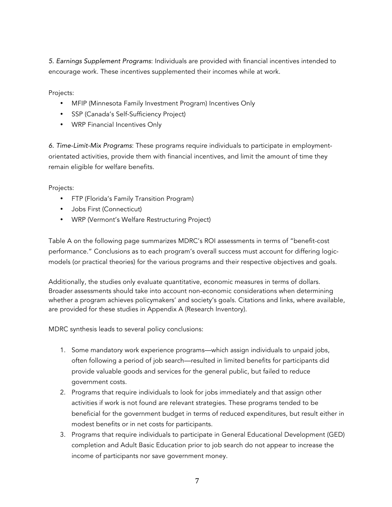*5. Earnings Supplement Programs*: Individuals are provided with financial incentives intended to encourage work. These incentives supplemented their incomes while at work.

Projects:

- MFIP (Minnesota Family Investment Program) Incentives Only
- SSP (Canada's Self-Sufficiency Project)
- WRP Financial Incentives Only

*6. Time-Limit-Mix Programs*: These programs require individuals to participate in employmentorientated activities, provide them with financial incentives, and limit the amount of time they remain eligible for welfare benefits.

Projects:

- FTP (Florida's Family Transition Program)
- Jobs First (Connecticut)
- WRP (Vermont's Welfare Restructuring Project)

Table A on the following page summarizes MDRC's ROI assessments in terms of "benefit-cost performance." Conclusions as to each program's overall success must account for differing logicmodels (or practical theories) for the various programs and their respective objectives and goals.

Additionally, the studies only evaluate quantitative, economic measures in terms of dollars. Broader assessments should take into account non-economic considerations when determining whether a program achieves policymakers' and society's goals. Citations and links, where available, are provided for these studies in Appendix A (Research Inventory).

MDRC synthesis leads to several policy conclusions:

- 1. Some mandatory work experience programs—which assign individuals to unpaid jobs, often following a period of job search—resulted in limited benefits for participants did provide valuable goods and services for the general public, but failed to reduce government costs.
- 2. Programs that require individuals to look for jobs immediately and that assign other activities if work is not found are relevant strategies. These programs tended to be beneficial for the government budget in terms of reduced expenditures, but result either in modest benefits or in net costs for participants.
- 3. Programs that require individuals to participate in General Educational Development (GED) completion and Adult Basic Education prior to job search do not appear to increase the income of participants nor save government money.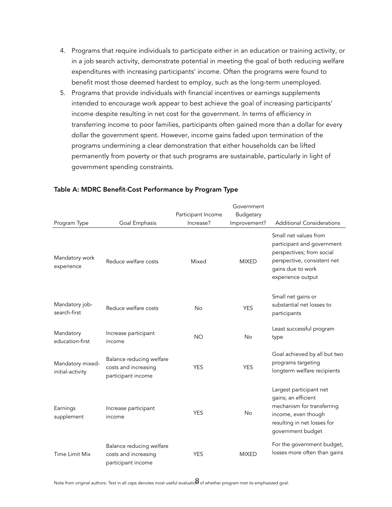- 4. Programs that require individuals to participate either in an education or training activity, or in a job search activity, demonstrate potential in meeting the goal of both reducing welfare expenditures with increasing participants' income. Often the programs were found to benefit most those deemed hardest to employ, such as the long-term unemployed.
- 5. Programs that provide individuals with financial incentives or earnings supplements intended to encourage work appear to best achieve the goal of increasing participants' income despite resulting in net cost for the government. In terms of efficiency in transferring income to poor families, participants often gained more than a dollar for every dollar the government spent. However, income gains faded upon termination of the programs undermining a clear demonstration that either households can be lifted permanently from poverty or that such programs are sustainable, particularly in light of government spending constraints.

|                                      |                                                                        | Participant Income | Government<br>Budgetary |                                                                                                                                                           |
|--------------------------------------|------------------------------------------------------------------------|--------------------|-------------------------|-----------------------------------------------------------------------------------------------------------------------------------------------------------|
| Program Type                         | Goal Emphasis                                                          | Increase?          | Improvement?            | <b>Additional Considerations</b>                                                                                                                          |
| Mandatory work<br>experience         | Reduce welfare costs                                                   | Mixed              | <b>MIXED</b>            | Small net values from<br>participant and government<br>perspectives; from social<br>perspective, consistent net<br>gains due to work<br>experience output |
| Mandatory job-<br>search-first       | Reduce welfare costs                                                   | <b>No</b>          | <b>YES</b>              | Small net gains or<br>substantial net losses to<br>participants                                                                                           |
| Mandatory<br>education-first         | Increase participant<br>income                                         | <b>NO</b>          | <b>No</b>               | Least successful program<br>type                                                                                                                          |
| Mandatory mixed-<br>initial-activity | Balance reducing welfare<br>costs and increasing<br>participant income | <b>YES</b>         | <b>YES</b>              | Goal achieved by all but two<br>programs targeting<br>longterm welfare recipients                                                                         |
| Earnings<br>supplement               | Increase participant<br>income                                         | <b>YES</b>         | <b>No</b>               | Largest participant net<br>gains; an efficient<br>mechanism for transferring<br>income, even though<br>resulting in net losses for<br>government budget   |
| <b>Time Limit Mix</b>                | Balance reducing welfare<br>costs and increasing<br>participant income | <b>YES</b>         | <b>MIXED</b>            | For the government budget,<br>losses more often than gains                                                                                                |

#### Table A: MDRC Benefit-Cost Performance by Program Type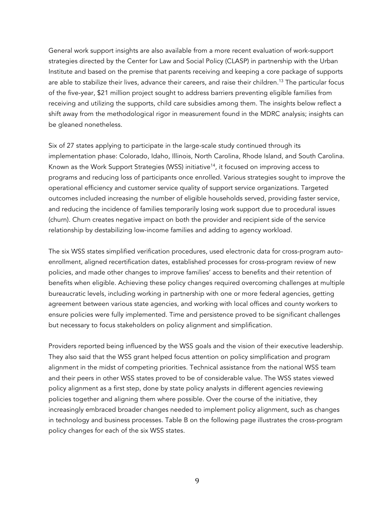General work support insights are also available from a more recent evaluation of work-support strategies directed by the Center for Law and Social Policy (CLASP) in partnership with the Urban Institute and based on the premise that parents receiving and keeping a core package of supports are able to stabilize their lives, advance their careers, and raise their children.<sup>13</sup> The particular focus of the five-year, \$21 million project sought to address barriers preventing eligible families from receiving and utilizing the supports, child care subsidies among them. The insights below reflect a shift away from the methodological rigor in measurement found in the MDRC analysis; insights can be gleaned nonetheless.

Six of 27 states applying to participate in the large-scale study continued through its implementation phase: Colorado, Idaho, Illinois, North Carolina, Rhode Island, and South Carolina. Known as the Work Support Strategies (WSS) initiative<sup>14</sup>, it focused on improving access to programs and reducing loss of participants once enrolled. Various strategies sought to improve the operational efficiency and customer service quality of support service organizations. Targeted outcomes included increasing the number of eligible households served, providing faster service, and reducing the incidence of families temporarily losing work support due to procedural issues (churn). Churn creates negative impact on both the provider and recipient side of the service relationship by destabilizing low-income families and adding to agency workload.

The six WSS states simplified verification procedures, used electronic data for cross-program autoenrollment, aligned recertification dates, established processes for cross-program review of new policies, and made other changes to improve families' access to benefits and their retention of benefits when eligible. Achieving these policy changes required overcoming challenges at multiple bureaucratic levels, including working in partnership with one or more federal agencies, getting agreement between various state agencies, and working with local offices and county workers to ensure policies were fully implemented. Time and persistence proved to be significant challenges but necessary to focus stakeholders on policy alignment and simplification.

Providers reported being influenced by the WSS goals and the vision of their executive leadership. They also said that the WSS grant helped focus attention on policy simplification and program alignment in the midst of competing priorities. Technical assistance from the national WSS team and their peers in other WSS states proved to be of considerable value. The WSS states viewed policy alignment as a first step, done by state policy analysts in different agencies reviewing policies together and aligning them where possible. Over the course of the initiative, they increasingly embraced broader changes needed to implement policy alignment, such as changes in technology and business processes. Table B on the following page illustrates the cross-program policy changes for each of the six WSS states.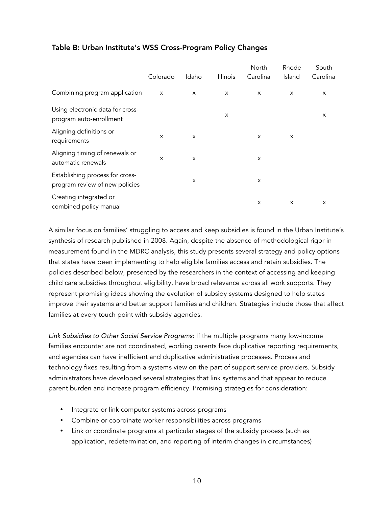|                                                                   | Colorado                  | Idaho    | Illinois | North<br>Carolina | Rhode<br>Island | South<br>Carolina |
|-------------------------------------------------------------------|---------------------------|----------|----------|-------------------|-----------------|-------------------|
| Combining program application                                     | $\boldsymbol{\mathsf{x}}$ | $\times$ | X        | $\times$          | X               | X                 |
| Using electronic data for cross-<br>program auto-enrollment       |                           |          | X        |                   |                 | X                 |
| Aligning definitions or<br>requirements                           | $\boldsymbol{\mathsf{x}}$ | $\times$ |          | $\times$          | $\times$        |                   |
| Aligning timing of renewals or<br>automatic renewals              | $\times$                  | X        |          | X                 |                 |                   |
| Establishing process for cross-<br>program review of new policies |                           | X        |          | X                 |                 |                   |
| Creating integrated or<br>combined policy manual                  |                           |          |          | X                 | $\times$        | X                 |

# Table B: Urban Institute's WSS Cross-Program Policy Changes

A similar focus on families' struggling to access and keep subsidies is found in the Urban Institute's synthesis of research published in 2008. Again, despite the absence of methodological rigor in measurement found in the MDRC analysis, this study presents several strategy and policy options that states have been implementing to help eligible families access and retain subsidies. The policies described below, presented by the researchers in the context of accessing and keeping child care subsidies throughout eligibility, have broad relevance across all work supports. They represent promising ideas showing the evolution of subsidy systems designed to help states improve their systems and better support families and children. Strategies include those that affect families at every touch point with subsidy agencies.

*Link Subsidies to Other Social Service Programs*: If the multiple programs many low-income families encounter are not coordinated, working parents face duplicative reporting requirements, and agencies can have inefficient and duplicative administrative processes. Process and technology fixes resulting from a systems view on the part of support service providers. Subsidy administrators have developed several strategies that link systems and that appear to reduce parent burden and increase program efficiency. Promising strategies for consideration:

- Integrate or link computer systems across programs
- Combine or coordinate worker responsibilities across programs
- Link or coordinate programs at particular stages of the subsidy process (such as application, redetermination, and reporting of interim changes in circumstances)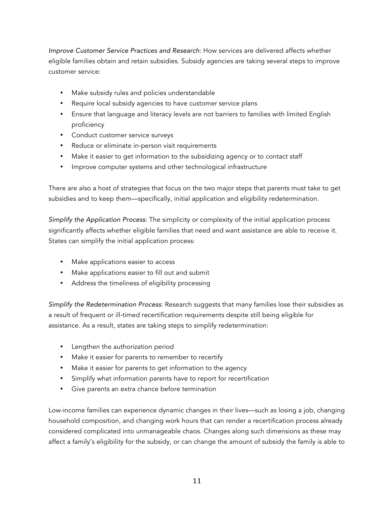*Improve Customer Service Practices and Research*: How services are delivered affects whether eligible families obtain and retain subsidies. Subsidy agencies are taking several steps to improve customer service:

- Make subsidy rules and policies understandable
- Require local subsidy agencies to have customer service plans
- Ensure that language and literacy levels are not barriers to families with limited English proficiency
- Conduct customer service surveys
- Reduce or eliminate in-person visit requirements
- Make it easier to get information to the subsidizing agency or to contact staff
- Improve computer systems and other technological infrastructure

There are also a host of strategies that focus on the two major steps that parents must take to get subsidies and to keep them—specifically, initial application and eligibility redetermination.

*Simplify the Application Process*: The simplicity or complexity of the initial application process significantly affects whether eligible families that need and want assistance are able to receive it. States can simplify the initial application process:

- Make applications easier to access
- Make applications easier to fill out and submit
- Address the timeliness of eligibility processing

*Simplify the Redetermination Process*: Research suggests that many families lose their subsidies as a result of frequent or ill-timed recertification requirements despite still being eligible for assistance. As a result, states are taking steps to simplify redetermination:

- Lengthen the authorization period
- Make it easier for parents to remember to recertify
- Make it easier for parents to get information to the agency
- Simplify what information parents have to report for recertification
- Give parents an extra chance before termination

Low-income families can experience dynamic changes in their lives—such as losing a job, changing household composition, and changing work hours that can render a recertification process already considered complicated into unmanageable chaos. Changes along such dimensions as these may affect a family's eligibility for the subsidy, or can change the amount of subsidy the family is able to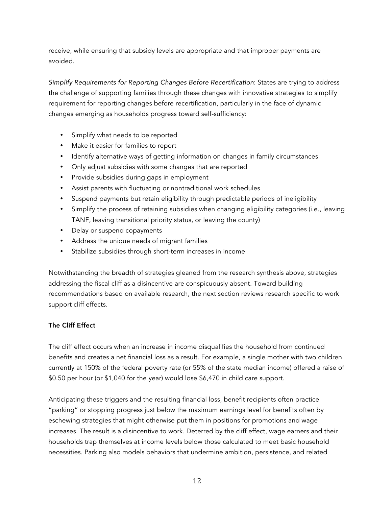receive, while ensuring that subsidy levels are appropriate and that improper payments are avoided.

*Simplify Requirements for Reporting Changes Before Recertification*: States are trying to address the challenge of supporting families through these changes with innovative strategies to simplify requirement for reporting changes before recertification, particularly in the face of dynamic changes emerging as households progress toward self-sufficiency:

- Simplify what needs to be reported
- Make it easier for families to report
- Identify alternative ways of getting information on changes in family circumstances
- Only adjust subsidies with some changes that are reported
- Provide subsidies during gaps in employment
- Assist parents with fluctuating or nontraditional work schedules
- Suspend payments but retain eligibility through predictable periods of ineligibility
- Simplify the process of retaining subsidies when changing eligibility categories (i.e., leaving TANF, leaving transitional priority status, or leaving the county)
- Delay or suspend copayments
- Address the unique needs of migrant families
- Stabilize subsidies through short-term increases in income

Notwithstanding the breadth of strategies gleaned from the research synthesis above, strategies addressing the fiscal cliff as a disincentive are conspicuously absent. Toward building recommendations based on available research, the next section reviews research specific to work support cliff effects.

## The Cliff Effect

The cliff effect occurs when an increase in income disqualifies the household from continued benefits and creates a net financial loss as a result. For example, a single mother with two children currently at 150% of the federal poverty rate (or 55% of the state median income) offered a raise of \$0.50 per hour (or \$1,040 for the year) would lose \$6,470 in child care support.

Anticipating these triggers and the resulting financial loss, benefit recipients often practice "parking" or stopping progress just below the maximum earnings level for benefits often by eschewing strategies that might otherwise put them in positions for promotions and wage increases. The result is a disincentive to work. Deterred by the cliff effect, wage earners and their households trap themselves at income levels below those calculated to meet basic household necessities. Parking also models behaviors that undermine ambition, persistence, and related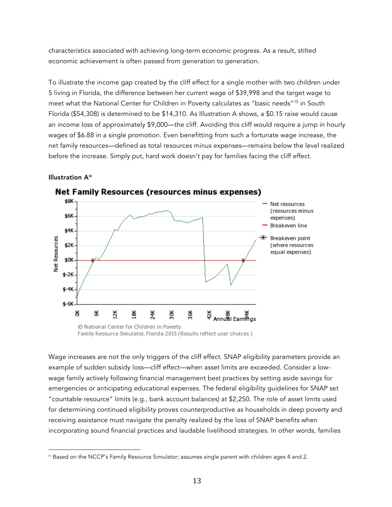characteristics associated with achieving long-term economic progress. As a result, stilted economic achievement is often passed from generation to generation.

To illustrate the income gap created by the cliff effect for a single mother with two children under 5 living in Florida, the difference between her current wage of \$39,998 and the target wage to meet what the National Center for Children in Poverty calculates as "basic needs"15 in South Florida (\$54,308) is determined to be \$14,310. As Illustration A shows, a \$0.15 raise would cause an income loss of approximately \$9,000—the cliff. Avoiding this cliff would require a jump in hourly wages of \$6.88 in a single promotion. Even benefitting from such a fortunate wage increase, the net family resources—defined as total resources minus expenses—remains below the level realized before the increase. Simply put, hard work doesn't pay for families facing the cliff effect.

#### Illustration Aiv

 



Net Family Resources (resources minus expenses)

Family Resource Simulator, Florida 2015 (Results reflect user choices.)

Wage increases are not the only triggers of the cliff effect. SNAP eligibility parameters provide an example of sudden subsidy loss—cliff effect—when asset limits are exceeded. Consider a lowwage family actively following financial management best practices by setting aside savings for emergencies or anticipating educational expenses. The federal eligibility guidelines for SNAP set "countable resource" limits (e.g., bank account balances) at \$2,250. The role of asset limits used for determining continued eligibility proves counterproductive as households in deep poverty and receiving assistance must navigate the penalty realized by the loss of SNAP benefits when incorporating sound financial practices and laudable livelihood strategies. In other words, families

iv Based on the NCCP's Family Resource Simulator; assumes single parent with children ages 4 and 2.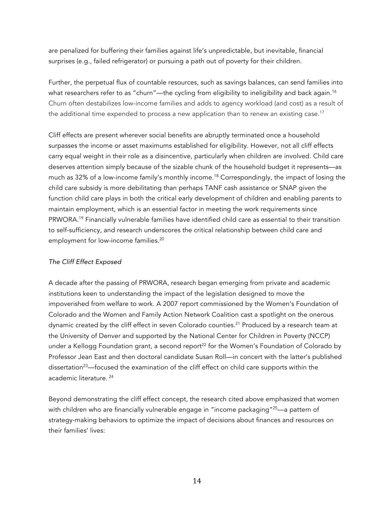are penalized for buffering their families against life's unpredictable, but inevitable, financial surprises (e.g., failed refrigerator) or pursuing a path out of poverty for their children.

Further, the perpetual flux of countable resources, such as savings balances, can send families into what researchers refer to as "churn"—the cycling from eligibility to ineligibility and back again.<sup>16</sup> Churn often destabilizes low-income families and adds to agency workload (and cost) as a result of the additional time expended to process a new application than to renew an existing case.<sup>17</sup>

Cliff effects are present wherever social benefits are abruptly terminated once a household surpasses the income or asset maximums established for eligibility. However, not all cliff effects carry equal weight in their role as a disincentive, particularly when children are involved. Child care deserves attention simply because of the sizable chunk of the household budget it represents—as much as 32% of a low-income family's monthly income. <sup>18</sup> Correspondingly, the impact of losing the child care subsidy is more debilitating than perhaps TANF cash assistance or SNAP given the function child care plays in both the critical early development of children and enabling parents to maintain employment, which is an essential factor in meeting the work requirements since PRWORA.19 Financially vulnerable families have identified child care as essential to their transition to self-sufficiency, and research underscores the critical relationship between child care and employment for low-income families.<sup>20</sup>

## *The Cliff Effect Exposed*

A decade after the passing of PRWORA, research began emerging from private and academic institutions keen to understanding the impact of the legislation designed to move the impoverished from welfare to work. A 2007 report commissioned by the Women's Foundation of Colorado and the Women and Family Action Network Coalition cast a spotlight on the onerous dynamic created by the cliff effect in seven Colorado counties.<sup>21</sup> Produced by a research team at the University of Denver and supported by the National Center for Children in Poverty (NCCP) under a Kellogg Foundation grant, a second report<sup>22</sup> for the Women's Foundation of Colorado by Professor Jean East and then doctoral candidate Susan Roll—in concert with the latter's published dissertation<sup>23</sup>—focused the examination of the cliff effect on child care supports within the academic literature. <sup>24</sup>

Beyond demonstrating the cliff effect concept, the research cited above emphasized that women with children who are financially vulnerable engage in "income packaging"<sup>25</sup>—a pattern of strategy-making behaviors to optimize the impact of decisions about finances and resources on their families' lives: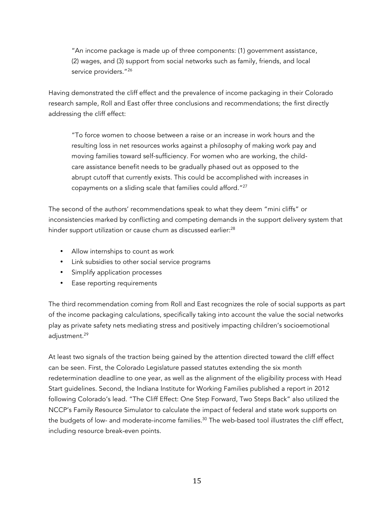"An income package is made up of three components: (1) government assistance, (2) wages, and (3) support from social networks such as family, friends, and local service providers."<sup>26</sup>

Having demonstrated the cliff effect and the prevalence of income packaging in their Colorado research sample, Roll and East offer three conclusions and recommendations; the first directly addressing the cliff effect:

"To force women to choose between a raise or an increase in work hours and the resulting loss in net resources works against a philosophy of making work pay and moving families toward self-sufficiency. For women who are working, the childcare assistance benefit needs to be gradually phased out as opposed to the abrupt cutoff that currently exists. This could be accomplished with increases in copayments on a sliding scale that families could afford."<sup>27</sup>

The second of the authors' recommendations speak to what they deem "mini cliffs" or inconsistencies marked by conflicting and competing demands in the support delivery system that hinder support utilization or cause churn as discussed earlier: $^{28}$ 

- Allow internships to count as work
- Link subsidies to other social service programs
- Simplify application processes
- Ease reporting requirements

The third recommendation coming from Roll and East recognizes the role of social supports as part of the income packaging calculations, specifically taking into account the value the social networks play as private safety nets mediating stress and positively impacting children's socioemotional adjustment.<sup>29</sup>

At least two signals of the traction being gained by the attention directed toward the cliff effect can be seen. First, the Colorado Legislature passed statutes extending the six month redetermination deadline to one year, as well as the alignment of the eligibility process with Head Start guidelines. Second, the Indiana Institute for Working Families published a report in 2012 following Colorado's lead. "The Cliff Effect: One Step Forward, Two Steps Back" also utilized the NCCP's Family Resource Simulator to calculate the impact of federal and state work supports on the budgets of low- and moderate-income families.<sup>30</sup> The web-based tool illustrates the cliff effect, including resource break-even points.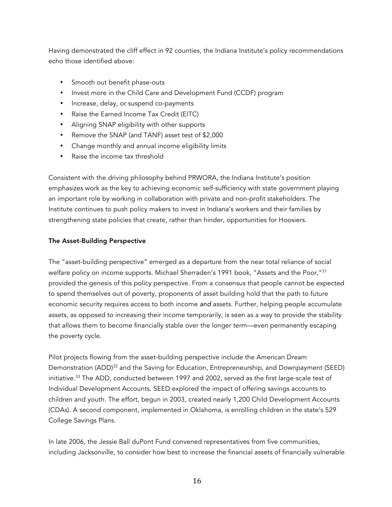Having demonstrated the cliff effect in 92 counties, the Indiana Institute's policy recommendations echo those identified above:

- Smooth out benefit phase-outs
- Invest more in the Child Care and Development Fund (CCDF) program
- Increase, delay, or suspend co-payments
- Raise the Earned Income Tax Credit (EITC)
- Aligning SNAP eligibility with other supports
- Remove the SNAP (and TANF) asset test of \$2,000
- Change monthly and annual income eligibility limits
- Raise the income tax threshold

Consistent with the driving philosophy behind PRWORA, the Indiana Institute's position emphasizes work as the key to achieving economic self-sufficiency with state government playing an important role by working in collaboration with private and non-profit stakeholders. The Institute continues to push policy makers to invest in Indiana's workers and their families by strengthening state policies that create, rather than hinder, opportunities for Hoosiers.

## The Asset-Building Perspective

The "asset-building perspective" emerged as a departure from the near total reliance of social welfare policy on income supports. Michael Sherraden's 1991 book, "Assets and the Poor,"<sup>31</sup> provided the genesis of this policy perspective. From a consensus that people cannot be expected to spend themselves out of poverty, proponents of asset building hold that the path to future economic security requires access to both income *and* assets. Further, helping people accumulate assets, as opposed to increasing their income temporarily, is seen as a way to provide the stability that allows them to become financially stable over the longer term—even permanently escaping the poverty cycle.

Pilot projects flowing from the asset-building perspective include the American Dream Demonstration (ADD)<sup>32</sup> and the Saving for Education, Entrepreneurship, and Downpayment (SEED) initiative.<sup>33</sup> The ADD, conducted between 1997 and 2002, served as the first large-scale test of Individual Development Accounts. SEED explored the impact of offering savings accounts to children and youth. The effort, begun in 2003, created nearly 1,200 Child Development Accounts (CDAs). A second component, implemented in Oklahoma, is enrolling children in the state's 529 College Savings Plans.

In late 2006, the Jessie Ball duPont Fund convened representatives from five communities, including Jacksonville, to consider how best to increase the financial assets of financially vulnerable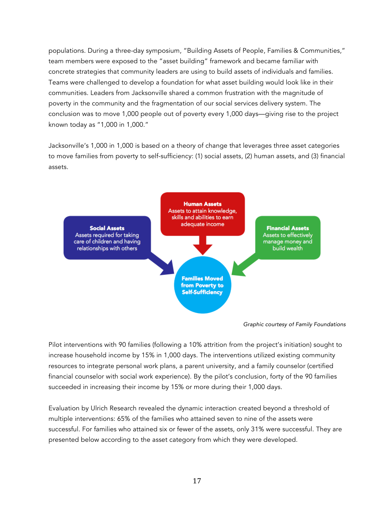populations. During a three-day symposium, "Building Assets of People, Families & Communities," team members were exposed to the "asset building" framework and became familiar with concrete strategies that community leaders are using to build assets of individuals and families. Teams were challenged to develop a foundation for what asset building would look like in their communities. Leaders from Jacksonville shared a common frustration with the magnitude of poverty in the community and the fragmentation of our social services delivery system. The conclusion was to move 1,000 people out of poverty every 1,000 days—giving rise to the project known today as "1,000 in 1,000."

Jacksonville's 1,000 in 1,000 is based on a theory of change that leverages three asset categories to move families from poverty to self-sufficiency: (1) social assets, (2) human assets, and (3) financial assets.



*Graphic courtesy of Family Foundations*

Pilot interventions with 90 families (following a 10% attrition from the project's initiation) sought to increase household income by 15% in 1,000 days. The interventions utilized existing community resources to integrate personal work plans, a parent university, and a family counselor (certified financial counselor with social work experience). By the pilot's conclusion, forty of the 90 families succeeded in increasing their income by 15% or more during their 1,000 days.

Evaluation by Ulrich Research revealed the dynamic interaction created beyond a threshold of multiple interventions: 65% of the families who attained seven to nine of the assets were successful. For families who attained six or fewer of the assets, only 31% were successful. They are presented below according to the asset category from which they were developed.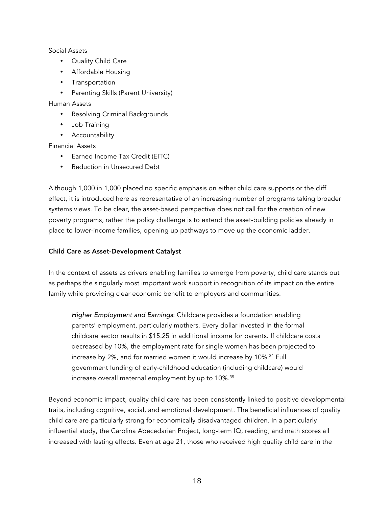#### Social Assets

- Quality Child Care
- Affordable Housing
- Transportation
- Parenting Skills (Parent University)

## Human Assets

- Resolving Criminal Backgrounds
- Job Training
- Accountability

## Financial Assets

- Earned Income Tax Credit (EITC)
- Reduction in Unsecured Debt

Although 1,000 in 1,000 placed no specific emphasis on either child care supports or the cliff effect, it is introduced here as representative of an increasing number of programs taking broader systems views. To be clear, the asset-based perspective does not call for the creation of new poverty programs, rather the policy challenge is to extend the asset-building policies already in place to lower-income families, opening up pathways to move up the economic ladder.

## Child Care as Asset-Development Catalyst

In the context of assets as drivers enabling families to emerge from poverty, child care stands out as perhaps the singularly most important work support in recognition of its impact on the entire family while providing clear economic benefit to employers and communities.

*Higher Employment and Earnings*: Childcare provides a foundation enabling parents' employment, particularly mothers. Every dollar invested in the formal childcare sector results in \$15.25 in additional income for parents. If childcare costs decreased by 10%, the employment rate for single women has been projected to increase by 2%, and for married women it would increase by 10%.<sup>34</sup> Full government funding of early-childhood education (including childcare) would increase overall maternal employment by up to 10%.35

Beyond economic impact, quality child care has been consistently linked to positive developmental traits, including cognitive, social, and emotional development. The beneficial influences of quality child care are particularly strong for economically disadvantaged children. In a particularly influential study, the Carolina Abecedarian Project, long-term IQ, reading, and math scores all increased with lasting effects. Even at age 21, those who received high quality child care in the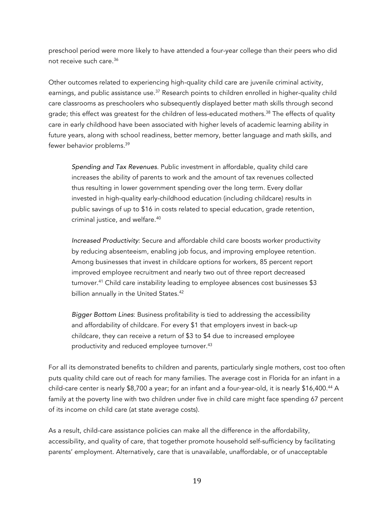preschool period were more likely to have attended a four-year college than their peers who did not receive such care.36

Other outcomes related to experiencing high-quality child care are juvenile criminal activity, earnings, and public assistance use.<sup>37</sup> Research points to children enrolled in higher-quality child care classrooms as preschoolers who subsequently displayed better math skills through second grade; this effect was greatest for the children of less-educated mothers.<sup>38</sup> The effects of quality care in early childhood have been associated with higher levels of academic learning ability in future years, along with school readiness, better memory, better language and math skills, and fewer behavior problems.39

*Spending and Tax Revenues*. Public investment in affordable, quality child care increases the ability of parents to work and the amount of tax revenues collected thus resulting in lower government spending over the long term. Every dollar invested in high-quality early-childhood education (including childcare) results in public savings of up to \$16 in costs related to special education, grade retention, criminal justice, and welfare.40

*Increased Productivity*: Secure and affordable child care boosts worker productivity by reducing absenteeism, enabling job focus, and improving employee retention. Among businesses that invest in childcare options for workers, 85 percent report improved employee recruitment and nearly two out of three report decreased turnover.<sup>41</sup> Child care instability leading to employee absences cost businesses \$3 billion annually in the United States.<sup>42</sup>

*Bigger Bottom Lines*: Business profitability is tied to addressing the accessibility and affordability of childcare. For every \$1 that employers invest in back-up childcare, they can receive a return of \$3 to \$4 due to increased employee productivity and reduced employee turnover.<sup>43</sup>

For all its demonstrated benefits to children and parents, particularly single mothers, cost too often puts quality child care out of reach for many families. The average cost in Florida for an infant in a child-care center is nearly \$8,700 a year; for an infant and a four-year-old, it is nearly \$16,400.<sup>44</sup> A family at the poverty line with two children under five in child care might face spending 67 percent of its income on child care (at state average costs).

As a result, child-care assistance policies can make all the difference in the affordability, accessibility, and quality of care, that together promote household self-sufficiency by facilitating parents' employment. Alternatively, care that is unavailable, unaffordable, or of unacceptable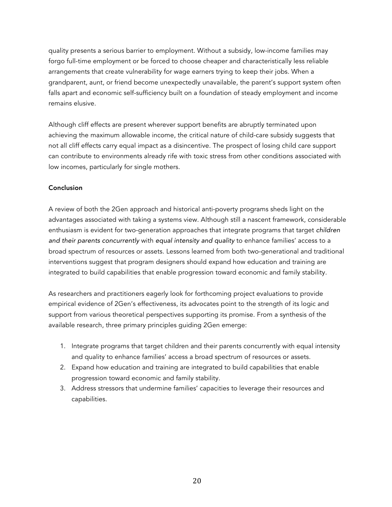quality presents a serious barrier to employment. Without a subsidy, low-income families may forgo full-time employment or be forced to choose cheaper and characteristically less reliable arrangements that create vulnerability for wage earners trying to keep their jobs. When a grandparent, aunt, or friend become unexpectedly unavailable, the parent's support system often falls apart and economic self-sufficiency built on a foundation of steady employment and income remains elusive.

Although cliff effects are present wherever support benefits are abruptly terminated upon achieving the maximum allowable income, the critical nature of child-care subsidy suggests that not all cliff effects carry equal impact as a disincentive. The prospect of losing child care support can contribute to environments already rife with toxic stress from other conditions associated with low incomes, particularly for single mothers.

#### Conclusion

A review of both the 2Gen approach and historical anti-poverty programs sheds light on the advantages associated with taking a systems view. Although still a nascent framework, considerable enthusiasm is evident for two-generation approaches that integrate programs that target *children and their parents concurrently* with *equal intensity and quality* to enhance families' access to a broad spectrum of resources or assets. Lessons learned from both two-generational and traditional interventions suggest that program designers should expand how education and training are integrated to build capabilities that enable progression toward economic and family stability.

As researchers and practitioners eagerly look for forthcoming project evaluations to provide empirical evidence of 2Gen's effectiveness, its advocates point to the strength of its logic and support from various theoretical perspectives supporting its promise. From a synthesis of the available research, three primary principles guiding 2Gen emerge:

- 1. Integrate programs that target children and their parents concurrently with equal intensity and quality to enhance families' access a broad spectrum of resources or assets.
- 2. Expand how education and training are integrated to build capabilities that enable progression toward economic and family stability.
- 3. Address stressors that undermine families' capacities to leverage their resources and capabilities.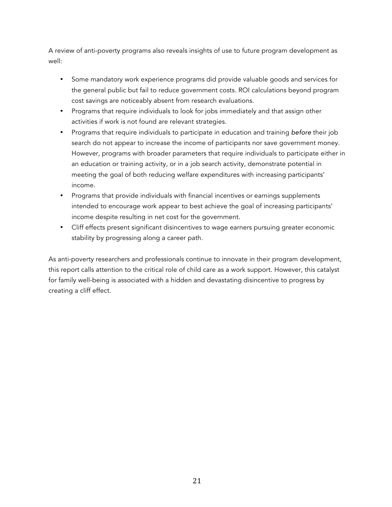A review of anti-poverty programs also reveals insights of use to future program development as well:

- Some mandatory work experience programs did provide valuable goods and services for the general public but fail to reduce government costs. ROI calculations beyond program cost savings are noticeably absent from research evaluations.
- Programs that require individuals to look for jobs immediately and that assign other activities if work is not found are relevant strategies.
- Programs that require individuals to participate in education and training *before* their job search do not appear to increase the income of participants nor save government money. However, programs with broader parameters that require individuals to participate either in an education or training activity, or in a job search activity, demonstrate potential in meeting the goal of both reducing welfare expenditures with increasing participants' income.
- Programs that provide individuals with financial incentives or earnings supplements intended to encourage work appear to best achieve the goal of increasing participants' income despite resulting in net cost for the government.
- Cliff effects present significant disincentives to wage earners pursuing greater economic stability by progressing along a career path.

As anti-poverty researchers and professionals continue to innovate in their program development, this report calls attention to the critical role of child care as a work support. However, this catalyst for family well-being is associated with a hidden and devastating disincentive to progress by creating a cliff effect.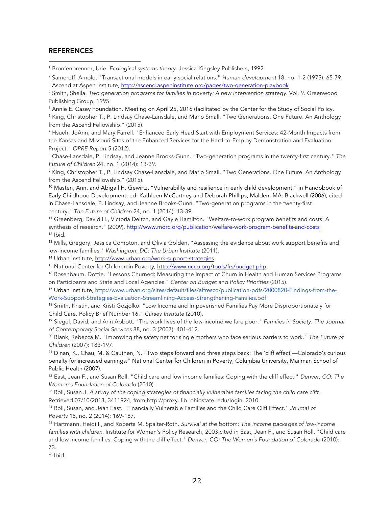#### **REFERENCES**

 

<sup>1</sup> Bronfenbrenner, Urie. *Ecological systems theory*. Jessica Kingsley Publishers, 1992.

<sup>2</sup> Sameroff, Arnold. "Transactional models in early social relations." *Human development* 18, no. 1-2 (1975): 65-79.

<sup>3</sup> Ascend at Aspen Institute, http://ascend.aspeninstitute.org/pages/two-generation-playbook

<sup>4</sup> Smith, Sheila. *Two generation programs for families in poverty: A new intervention strategy*. Vol. 9. Greenwood Publishing Group, 1995.

<sup>5</sup> Annie E. Casey Foundation. Meeting on April 25, 2016 (facilitated by the Center for the Study of Social Policy.

<sup>6</sup> King, Christopher T., P. Lindsay Chase-Lansdale, and Mario Small. "Two Generations. One Future. An Anthology from the Ascend Fellowship." (2015).

<sup>7</sup> Hsueh, JoAnn, and Mary Farrell. "Enhanced Early Head Start with Employment Services: 42-Month Impacts from the Kansas and Missouri Sites of the Enhanced Services for the Hard-to-Employ Demonstration and Evaluation Project." *OPRE Report* 5 (2012).

<sup>8</sup> Chase-Lansdale, P. Lindsay, and Jeanne Brooks-Gunn. "Two-generation programs in the twenty-first century." *The Future of Children* 24, no. 1 (2014): 13-39.

<sup>9</sup> King, Christopher T., P. Lindsay Chase-Lansdale, and Mario Small. "Two Generations. One Future. An Anthology from the Ascend Fellowship." (2015).

<sup>10</sup> Masten, Ann, and Abigail H. Gewirtz, "Vulnerability and resilience in early child development," in Handobook of Early Childhood Development, ed. Kathleen McCartney and Deborah Phillips, Malden, MA: Blackwell (2006), cited in Chase-Lansdale, P. Lindsay, and Jeanne Brooks-Gunn. "Two-generation programs in the twenty-first century." *The Future of Children* 24, no. 1 (2014): 13-39.

<sup>11</sup> Greenberg, David H., Victoria Deitch, and Gayle Hamilton. "Welfare-to-work program benefits and costs: A synthesis of research." (2009). http://www.mdrc.org/publication/welfare-work-program-benefits-and-costs  $12$  Ibid.

<sup>13</sup> Mills, Gregory, Jessica Compton, and Olivia Golden. "Assessing the evidence about work support benefits and low-income families." *Washington, DC: The Urban Institute* (2011).

<sup>14</sup> Urban Institute, http://www.urban.org/work-support-strategies

<sup>15</sup> National Center for Children in Poverty, http://www.nccp.org/tools/frs/budget.php

<sup>16</sup> Rosenbaum, Dottie. "Lessons Churned: Measuring the Impact of Churn in Health and Human Services Programs on Participants and State and Local Agencies." *Center on Budget and Policy Priorities* (2015).

<sup>17</sup> Urban Institute, http://www.urban.org/sites/default/files/alfresco/publication-pdfs/2000820-Findings-from-the-Work-Support-Strategies-Evaluation-Streamlining-Access-Strengthening-Families.pdf

<sup>18</sup> Smith, Kristin, and Kristi Gozjolko. "Low Income and Impoverished Families Pay More Disproportionately for Child Care. Policy Brief Number 16." *Carsey Institute* (2010).

<sup>19</sup> Siegel, David, and Ann Abbott. "The work lives of the low-income welfare poor." *Families in Society: The Journal of Contemporary Social Services* 88, no. 3 (2007): 401-412.

<sup>20</sup> Blank, Rebecca M. "Improving the safety net for single mothers who face serious barriers to work." *The Future of Children* (2007): 183-197.

<sup>21</sup> Dinan, K., Chau, M. & Cauthen, N. "Two steps forward and three steps back: The 'cliff effect'—Colorado's curious penalty for increased earnings." National Center for Children in Poverty, Columbia University, Mailman School of Public Health (2007).

<sup>22</sup> East, Jean F., and Susan Roll. "Child care and low income families: Coping with the cliff effect." *Denver, CO: The Women's Foundation of Colorado* (2010).

<sup>23</sup> Roll, Susan J. *A study of the coping strategies of financially vulnerable families facing the child care cliff*. Retrieved 07/10/2013, 3411924, from http://proxy. lib. ohiostate. edu/login, 2010.

<sup>24</sup> Roll, Susan, and Jean East. "Financially Vulnerable Families and the Child Care Cliff Effect." *Journal of Poverty* 18, no. 2 (2014): 169-187.

<sup>25</sup> Hartmann, Heidi I., and Roberta M. Spalter-Roth. *Survival at the bottom: The income packages of low-income families with children*. Institute for Women's Policy Research, 2003 cited in East, Jean F., and Susan Roll. "Child care and low income families: Coping with the cliff effect." *Denver, CO: The Women's Foundation of Colorado* (2010): 73.

<sup>26</sup> Ibid.